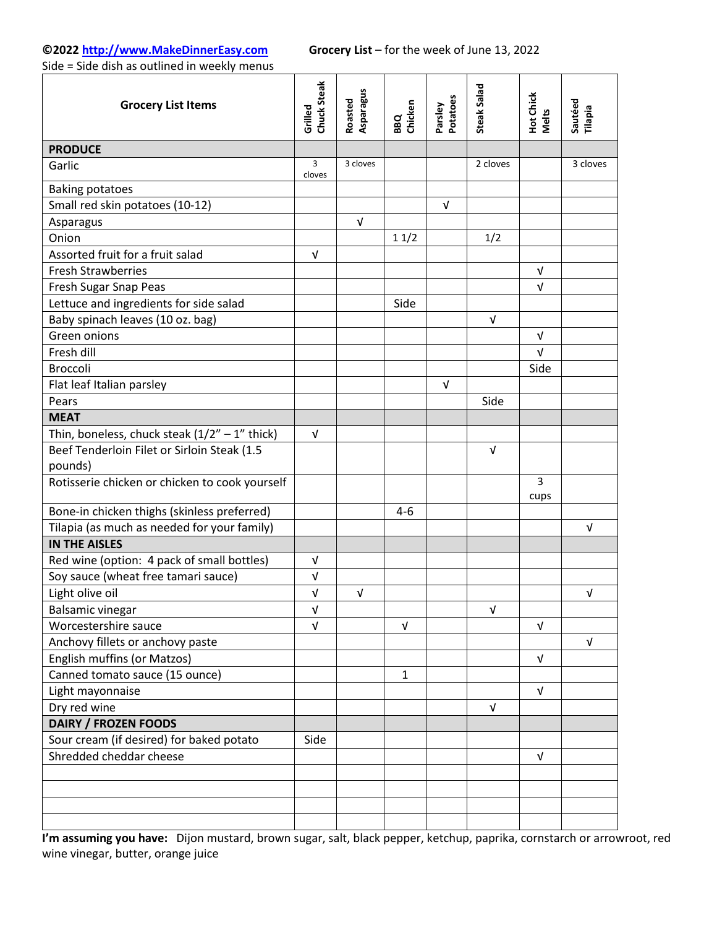# **©2022 [http://www.MakeDinnerEasy.com](http://www.makedinnereasy.com/) Grocery List** – for the week of June 13, 2022

Side = Side dish as outlined in weekly menus

| <b>Grocery List Items</b>                       | Chuck Steak<br>Grilled | Asparagus<br>Roasted | BBQ<br>Chicken | Potatoes<br>Parsley | Steak Salad | Hot Chick<br>Melts | Sautéed<br>Tilapia |
|-------------------------------------------------|------------------------|----------------------|----------------|---------------------|-------------|--------------------|--------------------|
| <b>PRODUCE</b>                                  |                        |                      |                |                     |             |                    |                    |
| Garlic                                          | 3<br>cloves            | 3 cloves             |                |                     | 2 cloves    |                    | 3 cloves           |
| <b>Baking potatoes</b>                          |                        |                      |                |                     |             |                    |                    |
| Small red skin potatoes (10-12)                 |                        |                      |                | $\sqrt{ }$          |             |                    |                    |
| Asparagus                                       |                        | $\sqrt{ }$           |                |                     |             |                    |                    |
| Onion                                           |                        |                      | 11/2           |                     | 1/2         |                    |                    |
| Assorted fruit for a fruit salad                | $\sqrt{ }$             |                      |                |                     |             |                    |                    |
| <b>Fresh Strawberries</b>                       |                        |                      |                |                     |             | $\sqrt{ }$         |                    |
| Fresh Sugar Snap Peas                           |                        |                      |                |                     |             | $\sqrt{ }$         |                    |
| Lettuce and ingredients for side salad          |                        |                      | Side           |                     |             |                    |                    |
| Baby spinach leaves (10 oz. bag)                |                        |                      |                |                     | $\sqrt{ }$  |                    |                    |
| Green onions                                    |                        |                      |                |                     |             | $\sqrt{ }$         |                    |
| Fresh dill                                      |                        |                      |                |                     |             | $\sqrt{ }$         |                    |
| Broccoli                                        |                        |                      |                |                     |             | Side               |                    |
| Flat leaf Italian parsley                       |                        |                      |                | $\sqrt{ }$          |             |                    |                    |
| Pears                                           |                        |                      |                |                     | Side        |                    |                    |
| <b>MEAT</b>                                     |                        |                      |                |                     |             |                    |                    |
| Thin, boneless, chuck steak $(1/2" - 1"$ thick) | $\sqrt{ }$             |                      |                |                     |             |                    |                    |
| Beef Tenderloin Filet or Sirloin Steak (1.5     |                        |                      |                |                     | $\sqrt{ }$  |                    |                    |
| pounds)                                         |                        |                      |                |                     |             |                    |                    |
| Rotisserie chicken or chicken to cook yourself  |                        |                      |                |                     |             | 3<br>cups          |                    |
| Bone-in chicken thighs (skinless preferred)     |                        |                      | $4 - 6$        |                     |             |                    |                    |
| Tilapia (as much as needed for your family)     |                        |                      |                |                     |             |                    | V                  |
| <b>IN THE AISLES</b>                            |                        |                      |                |                     |             |                    |                    |
| Red wine (option: 4 pack of small bottles)      | $\sqrt{ }$             |                      |                |                     |             |                    |                    |
| Soy sauce (wheat free tamari sauce)             | V                      |                      |                |                     |             |                    |                    |
| Light olive oil                                 | $\sqrt{ }$             | $\sqrt{ }$           |                |                     |             |                    | $\sqrt{ }$         |
| <b>Balsamic vinegar</b>                         | V                      |                      |                |                     | $\sqrt{ }$  |                    |                    |
| Worcestershire sauce                            | $\sqrt{ }$             |                      | $\sqrt{ }$     |                     |             | $\sqrt{ }$         |                    |
| Anchovy fillets or anchovy paste                |                        |                      |                |                     |             |                    | $\sqrt{ }$         |
| English muffins (or Matzos)                     |                        |                      |                |                     |             | $\sqrt{ }$         |                    |
| Canned tomato sauce (15 ounce)                  |                        |                      | 1              |                     |             |                    |                    |
| Light mayonnaise                                |                        |                      |                |                     |             | $\sqrt{ }$         |                    |
| Dry red wine                                    |                        |                      |                |                     | $\sqrt{ }$  |                    |                    |
| <b>DAIRY / FROZEN FOODS</b>                     |                        |                      |                |                     |             |                    |                    |
| Sour cream (if desired) for baked potato        | Side                   |                      |                |                     |             |                    |                    |
| Shredded cheddar cheese                         |                        |                      |                |                     |             | $\sqrt{ }$         |                    |
|                                                 |                        |                      |                |                     |             |                    |                    |
|                                                 |                        |                      |                |                     |             |                    |                    |
|                                                 |                        |                      |                |                     |             |                    |                    |
|                                                 |                        |                      |                |                     |             |                    |                    |

**I'm assuming you have:** Dijon mustard, brown sugar, salt, black pepper, ketchup, paprika, cornstarch or arrowroot, red wine vinegar, butter, orange juice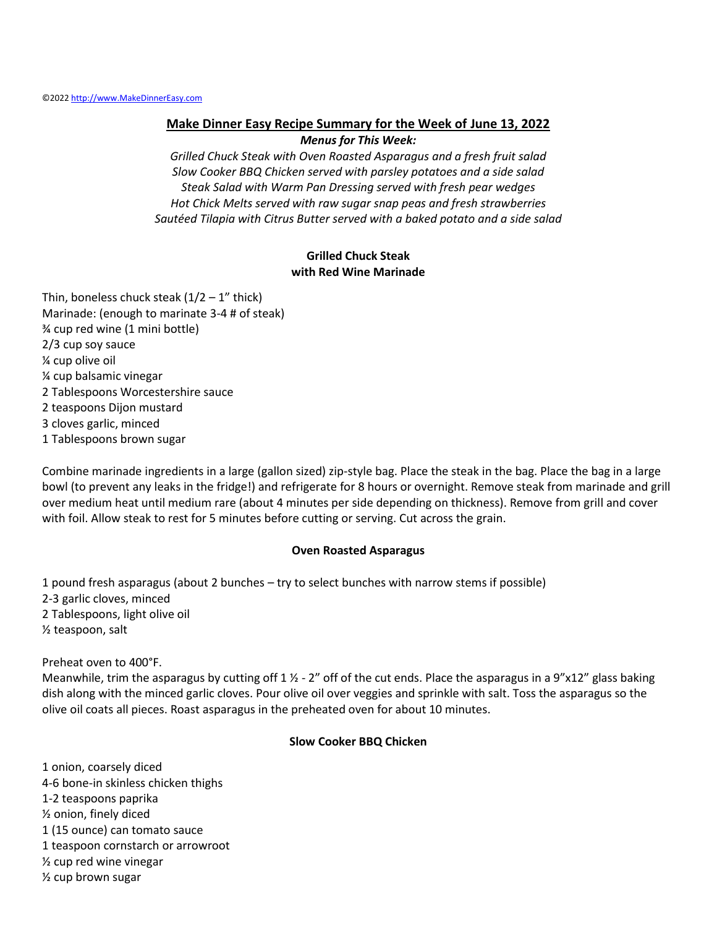#### **Make Dinner Easy Recipe Summary for the Week of June 13, 2022**

*Menus for This Week:*

*Grilled Chuck Steak with Oven Roasted Asparagus and a fresh fruit salad Slow Cooker BBQ Chicken served with parsley potatoes and a side salad Steak Salad with Warm Pan Dressing served with fresh pear wedges Hot Chick Melts served with raw sugar snap peas and fresh strawberries Sautéed Tilapia with Citrus Butter served with a baked potato and a side salad*

### **Grilled Chuck Steak with Red Wine Marinade**

Thin, boneless chuck steak  $(1/2 - 1"$  thick) Marinade: (enough to marinate 3-4 # of steak) ¾ cup red wine (1 mini bottle) 2/3 cup soy sauce ¼ cup olive oil ¼ cup balsamic vinegar 2 Tablespoons Worcestershire sauce 2 teaspoons Dijon mustard 3 cloves garlic, minced 1 Tablespoons brown sugar

Combine marinade ingredients in a large (gallon sized) zip-style bag. Place the steak in the bag. Place the bag in a large bowl (to prevent any leaks in the fridge!) and refrigerate for 8 hours or overnight. Remove steak from marinade and grill over medium heat until medium rare (about 4 minutes per side depending on thickness). Remove from grill and cover with foil. Allow steak to rest for 5 minutes before cutting or serving. Cut across the grain.

#### **Oven Roasted Asparagus**

1 pound fresh asparagus (about 2 bunches – try to select bunches with narrow stems if possible) 2-3 garlic cloves, minced 2 Tablespoons, light olive oil ½ teaspoon, salt

Preheat oven to 400°F.

Meanwhile, trim the asparagus by cutting off  $1 \frac{1}{2}$  - 2" off of the cut ends. Place the asparagus in a 9"x12" glass baking dish along with the minced garlic cloves. Pour olive oil over veggies and sprinkle with salt. Toss the asparagus so the olive oil coats all pieces. Roast asparagus in the preheated oven for about 10 minutes.

#### **Slow Cooker BBQ Chicken**

1 onion, coarsely diced 4-6 bone-in skinless chicken thighs 1-2 teaspoons paprika ½ onion, finely diced 1 (15 ounce) can tomato sauce 1 teaspoon cornstarch or arrowroot ½ cup red wine vinegar ½ cup brown sugar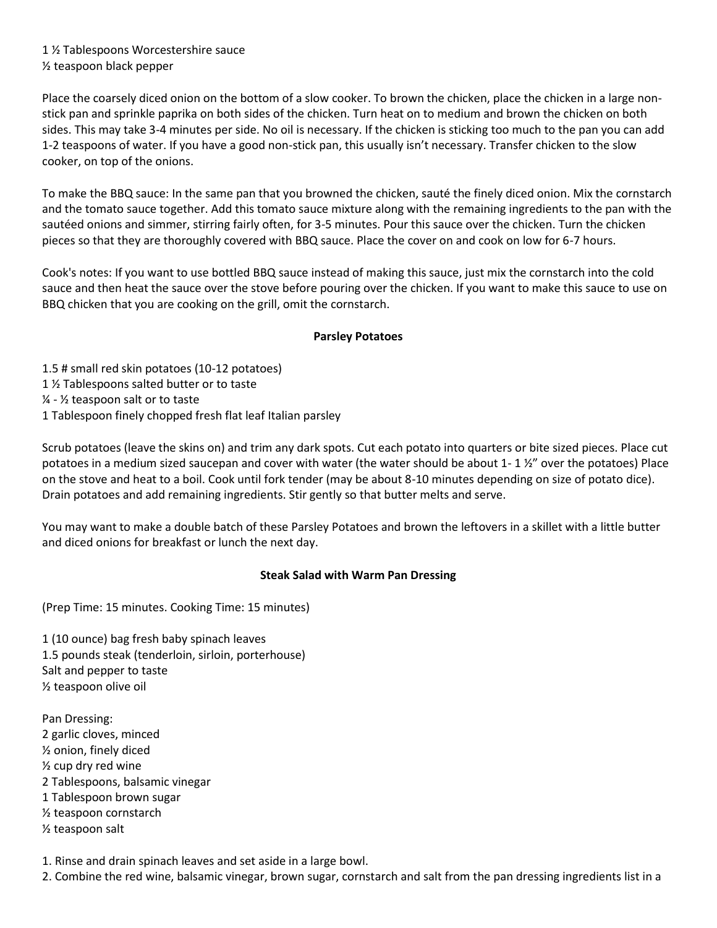1 ½ Tablespoons Worcestershire sauce ½ teaspoon black pepper

Place the coarsely diced onion on the bottom of a slow cooker. To brown the chicken, place the chicken in a large nonstick pan and sprinkle paprika on both sides of the chicken. Turn heat on to medium and brown the chicken on both sides. This may take 3-4 minutes per side. No oil is necessary. If the chicken is sticking too much to the pan you can add 1-2 teaspoons of water. If you have a good non-stick pan, this usually isn't necessary. Transfer chicken to the slow cooker, on top of the onions.

To make the BBQ sauce: In the same pan that you browned the chicken, sauté the finely diced onion. Mix the cornstarch and the tomato sauce together. Add this tomato sauce mixture along with the remaining ingredients to the pan with the sautéed onions and simmer, stirring fairly often, for 3-5 minutes. Pour this sauce over the chicken. Turn the chicken pieces so that they are thoroughly covered with BBQ sauce. Place the cover on and cook on low for 6-7 hours.

Cook's notes: If you want to use bottled BBQ sauce instead of making this sauce, just mix the cornstarch into the cold sauce and then heat the sauce over the stove before pouring over the chicken. If you want to make this sauce to use on BBQ chicken that you are cooking on the grill, omit the cornstarch.

#### **Parsley Potatoes**

1.5 # small red skin potatoes (10-12 potatoes) 1 ½ Tablespoons salted butter or to taste ¼ - ½ teaspoon salt or to taste 1 Tablespoon finely chopped fresh flat leaf Italian parsley

Scrub potatoes (leave the skins on) and trim any dark spots. Cut each potato into quarters or bite sized pieces. Place cut potatoes in a medium sized saucepan and cover with water (the water should be about 1- 1 ½" over the potatoes) Place on the stove and heat to a boil. Cook until fork tender (may be about 8-10 minutes depending on size of potato dice). Drain potatoes and add remaining ingredients. Stir gently so that butter melts and serve.

You may want to make a double batch of these Parsley Potatoes and brown the leftovers in a skillet with a little butter and diced onions for breakfast or lunch the next day.

## **Steak Salad with Warm Pan Dressing**

(Prep Time: 15 minutes. Cooking Time: 15 minutes)

1 (10 ounce) bag fresh baby spinach leaves 1.5 pounds steak (tenderloin, sirloin, porterhouse) Salt and pepper to taste ½ teaspoon olive oil

Pan Dressing: 2 garlic cloves, minced ½ onion, finely diced ½ cup dry red wine 2 Tablespoons, balsamic vinegar 1 Tablespoon brown sugar ½ teaspoon cornstarch ½ teaspoon salt

1. Rinse and drain spinach leaves and set aside in a large bowl.

2. Combine the red wine, balsamic vinegar, brown sugar, cornstarch and salt from the pan dressing ingredients list in a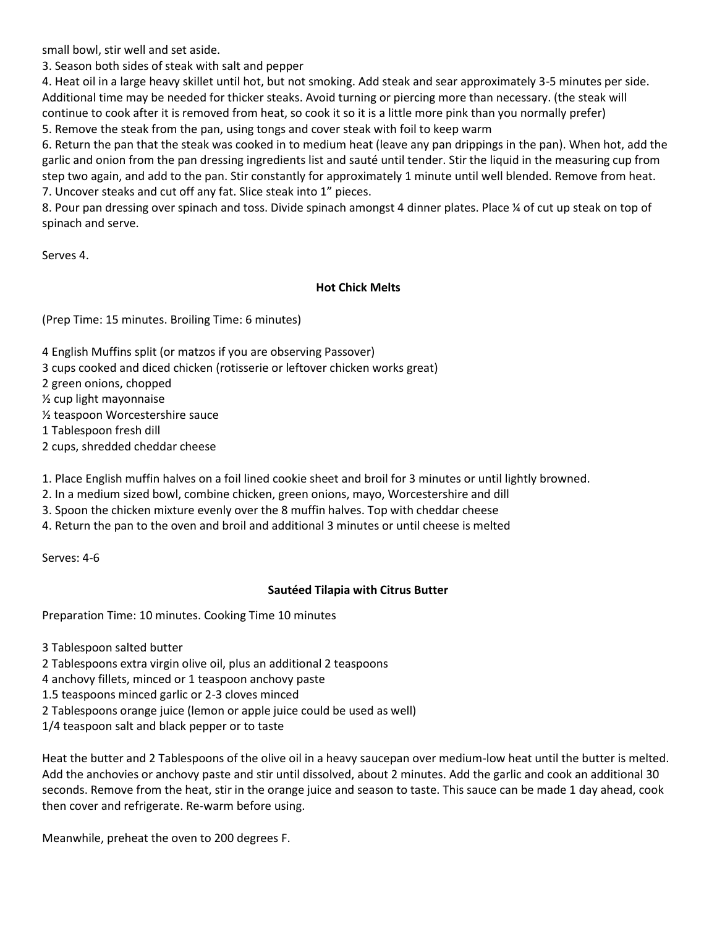small bowl, stir well and set aside.

3. Season both sides of steak with salt and pepper

4. Heat oil in a large heavy skillet until hot, but not smoking. Add steak and sear approximately 3-5 minutes per side. Additional time may be needed for thicker steaks. Avoid turning or piercing more than necessary. (the steak will continue to cook after it is removed from heat, so cook it so it is a little more pink than you normally prefer) 5. Remove the steak from the pan, using tongs and cover steak with foil to keep warm

6. Return the pan that the steak was cooked in to medium heat (leave any pan drippings in the pan). When hot, add the garlic and onion from the pan dressing ingredients list and sauté until tender. Stir the liquid in the measuring cup from step two again, and add to the pan. Stir constantly for approximately 1 minute until well blended. Remove from heat. 7. Uncover steaks and cut off any fat. Slice steak into 1" pieces.

8. Pour pan dressing over spinach and toss. Divide spinach amongst 4 dinner plates. Place ¼ of cut up steak on top of spinach and serve.

Serves 4.

### **Hot Chick Melts**

(Prep Time: 15 minutes. Broiling Time: 6 minutes)

- 4 English Muffins split (or matzos if you are observing Passover)
- 3 cups cooked and diced chicken (rotisserie or leftover chicken works great)
- 2 green onions, chopped
- ½ cup light mayonnaise
- ½ teaspoon Worcestershire sauce
- 1 Tablespoon fresh dill
- 2 cups, shredded cheddar cheese

1. Place English muffin halves on a foil lined cookie sheet and broil for 3 minutes or until lightly browned.

- 2. In a medium sized bowl, combine chicken, green onions, mayo, Worcestershire and dill
- 3. Spoon the chicken mixture evenly over the 8 muffin halves. Top with cheddar cheese
- 4. Return the pan to the oven and broil and additional 3 minutes or until cheese is melted

Serves: 4-6

## **Sautéed Tilapia with Citrus Butter**

Preparation Time: 10 minutes. Cooking Time 10 minutes

3 Tablespoon salted butter

- 2 Tablespoons extra virgin olive oil, plus an additional 2 teaspoons
- 4 anchovy fillets, minced or 1 teaspoon anchovy paste
- 1.5 teaspoons minced garlic or 2-3 cloves minced
- 2 Tablespoons orange juice (lemon or apple juice could be used as well)
- 1/4 teaspoon salt and black pepper or to taste

Heat the butter and 2 Tablespoons of the olive oil in a heavy saucepan over medium-low heat until the butter is melted. Add the anchovies or anchovy paste and stir until dissolved, about 2 minutes. Add the garlic and cook an additional 30 seconds. Remove from the heat, stir in the orange juice and season to taste. This sauce can be made 1 day ahead, cook then cover and refrigerate. Re-warm before using.

Meanwhile, preheat the oven to 200 degrees F.